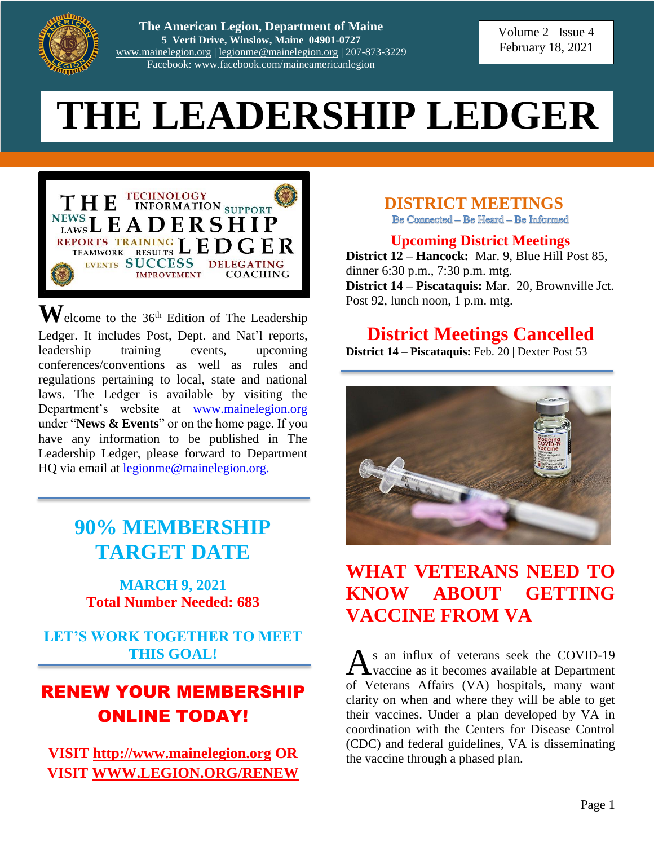

**The American Legion, Department of Maine 5 Verti Drive, Winslow, Maine 04901-0727** [www.mainelegion.org](http://www.mainelegion.org/) | [legionme@mainelegion.org](mailto:legionme@mainelegion.org) | 207-873-3229 Facebook: www.facebook.com/maineamericanlegion

Volume 2 Issue 4 February 18, 2021

# **THE LEADERSHIP LEDGER**



 $\mathbf{W}$ elcome to the 36<sup>th</sup> Edition of The Leadership Ledger. It includes Post, Dept. and Nat'l reports, leadership training events, upcoming conferences/conventions as well as rules and regulations pertaining to local, state and national laws. The Ledger is available by visiting the Department's website at [www.mainelegion.org](http://www.mainelegion.org/) under "**News & Events**" or on the home page. If you have any information to be published in The Leadership Ledger, please forward to Department HQ via email at [legionme@mainelegion.org.](mailto:legionme@mainelegion.org)

# **90% MEMBERSHIP TARGET DATE**

#### **MARCH 9, 2021 Total Number Needed: 683**

**LET'S WORK TOGETHER TO MEET THIS GOAL!**

# RENEW YOUR MEMBERSHIP ONLINE TODAY!

**VISIT [http://www.mainelegion.org](http://www.mainelegion.org/) OR VISIT [WWW.LEGION.ORG/RENEW](http://www.legion.org/RENEW)** **DISTRICT MEETINGS**<br>Be Connected – Be Heard – Be Informed

**Upcoming District Meetings**

**District 12 – Hancock:** Mar. 9, Blue Hill Post 85, dinner 6:30 p.m., 7:30 p.m. mtg. **District 14 – Piscataquis:** Mar. 20, Brownville Jct. Post 92, lunch noon, 1 p.m. mtg.

# **District Meetings Cancelled**

**District 14 – Piscataquis:** Feb. 20 | Dexter Post 53



# **WHAT VETERANS NEED TO KNOW ABOUT GETTING VACCINE FROM VA**

s an influx of veterans seek the COVID-19 As an influx of veterans seek the COVID-19<br>vaccine as it becomes available at Department of Veterans Affairs (VA) hospitals, many want clarity on when and where they will be able to get their vaccines. Under a plan developed by VA in coordination with the Centers for Disease Control (CDC) and federal guidelines, VA is disseminating the vaccine through a phased plan.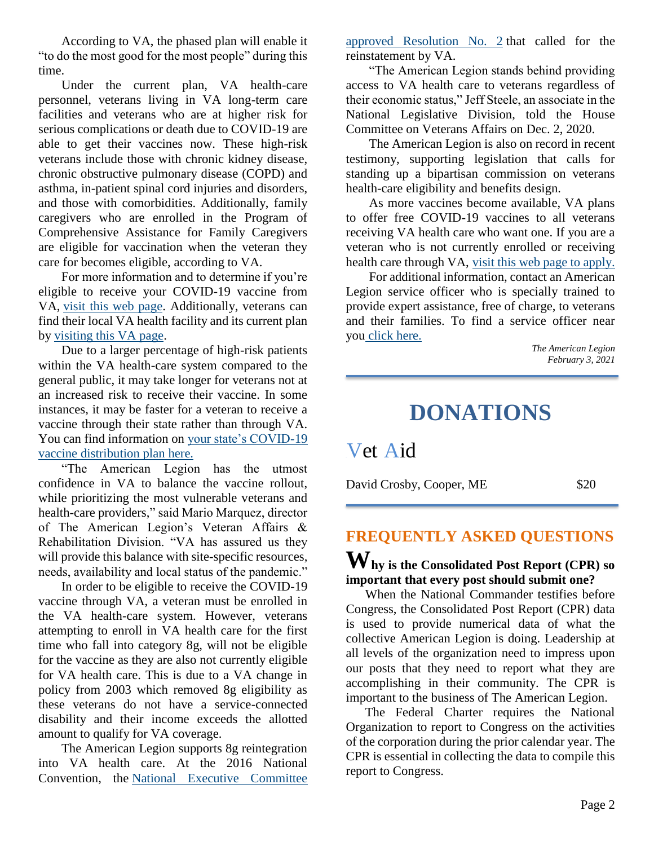According to VA, the phased plan will enable it "to do the most good for the most people" during this time.

Under the current plan, VA health-care personnel, veterans living in VA long-term care facilities and veterans who are at higher risk for serious complications or death due to COVID-19 are able to get their vaccines now. These high-risk veterans include those with chronic kidney disease, chronic obstructive pulmonary disease (COPD) and asthma, in-patient spinal cord injuries and disorders, and those with comorbidities. Additionally, family caregivers who are enrolled in the Program of Comprehensive Assistance for Family Caregivers are eligible for vaccination when the veteran they care for becomes eligible, according to VA.

For more information and to determine if you're eligible to receive your COVID-19 vaccine from VA, [visit this web page.](https://www.va.gov/health-care/covid-19-vaccine/) Additionally, veterans can find their local VA health facility and its current plan by [visiting this VA page.](https://www.va.gov/find-locations)

Due to a larger percentage of high-risk patients within the VA health-care system compared to the general public, it may take longer for veterans not at an increased risk to receive their vaccine. In some instances, it may be faster for a veteran to receive a vaccine through their state rather than through VA. You can find information on [your state's COVID-19](https://www.cdc.gov/vaccines/covid-19)  [vaccine distribution plan here.](https://www.cdc.gov/vaccines/covid-19)

"The American Legion has the utmost confidence in VA to balance the vaccine rollout, while prioritizing the most vulnerable veterans and health-care providers," said Mario Marquez, director of The American Legion's Veteran Affairs & Rehabilitation Division. "VA has assured us they will provide this balance with site-specific resources, needs, availability and local status of the pandemic."

In order to be eligible to receive the COVID-19 vaccine through VA, a veteran must be enrolled in the VA health-care system. However, veterans attempting to enroll in VA health care for the first time who fall into category 8g, will not be eligible for the vaccine as they are also not currently eligible for VA health care. This is due to a VA change in policy from 2003 which removed 8g eligibility as these veterans do not have a service-connected disability and their income exceeds the allotted amount to qualify for VA coverage.

The American Legion supports 8g reintegration into VA health care. At the 2016 National Convention, the [National Executive Committee](https://archive.legion.org/handle/20.500.12203/5566)  [approved Resolution No. 2](https://archive.legion.org/handle/20.500.12203/5566) that called for the reinstatement by VA.

"The American Legion stands behind providing access to VA health care to veterans regardless of their economic status," Jeff Steele, an associate in the National Legislative Division, told the House Committee on Veterans Affairs on Dec. 2, 2020.

The American Legion is also on record in recent testimony, supporting legislation that calls for standing up a bipartisan commission on veterans health-care eligibility and benefits design.

As more vaccines become available, VA plans to offer free COVID-19 vaccines to all veterans receiving VA health care who want one. If you are a veteran who is not currently enrolled or receiving health care through VA, [visit this web page to apply.](https://www.va.gov/health-care/how-to-apply/)

For additional information, contact an American Legion service officer who is specially trained to provide expert assistance, free of charge, to veterans and their families. To find a service officer near you [click here.](https://www.legion.org/serviceofficers)

*The American Legion February 3, 2021*

# **DONATIONS**

Vet Aid

David Crosby, Cooper, ME  $$20$ 

# **FREQUENTLY ASKED QUESTIONS hy is the Consolidated Post Report (CPR) so W**

**important that every post should submit one?**

When the National Commander testifies before Congress, the Consolidated Post Report (CPR) data is used to provide numerical data of what the collective American Legion is doing. Leadership at all levels of the organization need to impress upon our posts that they need to report what they are accomplishing in their community. The CPR is important to the business of The American Legion.

The Federal Charter requires the National Organization to report to Congress on the activities of the corporation during the prior calendar year. The CPR is essential in collecting the data to compile this report to Congress.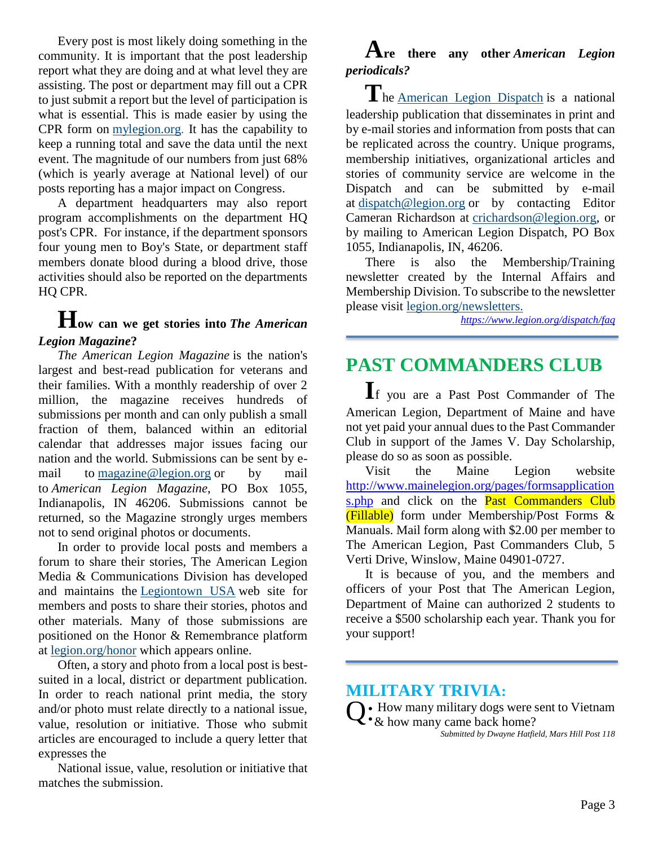Every post is most likely doing something in the community. It is important that the post leadership report what they are doing and at what level they are assisting. The post or department may fill out a CPR to just submit a report but the level of participation is what is essential. This is made easier by using the CPR form on [mylegion.org.](https://www.mylegion.org/) It has the capability to keep a running total and save the data until the next event. The magnitude of our numbers from just 68% (which is yearly average at National level) of our posts reporting has a major impact on Congress.

A department headquarters may also report program accomplishments on the department HQ post's CPR. For instance, if the department sponsors four young men to Boy's State, or department staff members donate blood during a blood drive, those activities should also be reported on the departments HQ CPR.

### **How can we get stories into** *The American Legion Magazine***?**

*The American Legion Magazine* is the nation's largest and best-read publication for veterans and their families. With a monthly readership of over 2 million, the magazine receives hundreds of submissions per month and can only publish a small fraction of them, balanced within an editorial calendar that addresses major issues facing our nation and the world. Submissions can be sent by email to [magazine@legion.org](mailto:magazine@legion.org) or by mail to *American Legion Magazine*, PO Box 1055, Indianapolis, IN 46206. Submissions cannot be returned, so the Magazine strongly urges members not to send original photos or documents.

In order to provide local posts and members a forum to share their stories, The American Legion Media & Communications Division has developed and maintains the [Legiontown USA](http://www.legiontown.org/) web site for members and posts to share their stories, photos and other materials. Many of those submissions are positioned on the Honor & Remembrance platform at [legion.org/honor](file:///C:/Users/alkmm/Desktop/FAQ/legion.org/honor) which appears online.

Often, a story and photo from a local post is bestsuited in a local, district or department publication. In order to reach national print media, the story and/or photo must relate directly to a national issue, value, resolution or initiative. Those who submit articles are encouraged to include a query letter that expresses the

National issue, value, resolution or initiative that matches the submission.

# **Are there any other** *American Legion periodicals?*

**T**he [American Legion Dispatch](https://www.legion.org/dispatch) is a national leadership publication that disseminates in print and by e-mail stories and information from posts that can be replicated across the country. Unique programs, membership initiatives, organizational articles and stories of community service are welcome in the Dispatch and can be submitted by e-mail at [dispatch@legion.org](mailto:dispatch@legion.org) or by contacting Editor Cameran Richardson at [crichardson@legion.org,](mailto:crichardson@legion.org) or by mailing to American Legion Dispatch, PO Box 1055, Indianapolis, IN, 46206.

There is also the Membership/Training newsletter created by the Internal Affairs and Membership Division. To subscribe to the newsletter please visit [legion.org/newsletters.](https://www.legion.org/newsletters/)

*[https://www.legion.org/dispatch/](https://www.legion.org/dispatch)faq*

# **PAST COMMANDERS CLUB**

**I**f you are a Past Post Commander of The American Legion, Department of Maine and have not yet paid your annual dues to the Past Commander Club in support of the James V. Day Scholarship, please do so as soon as possible.

Visit the Maine Legion website [http://www.mainelegion.org/pages/formsapplication](http://www.mainelegion.org/pages/formsapplications.php) [s.php](http://www.mainelegion.org/pages/formsapplications.php) and click on the **Past Commanders Club** (Fillable) form under Membership/Post Forms & Manuals. Mail form along with \$2.00 per member to The American Legion, Past Commanders Club, 5 Verti Drive, Winslow, Maine 04901-0727.

It is because of you, and the members and officers of your Post that The American Legion, Department of Maine can authorized 2 students to receive a \$500 scholarship each year. Thank you for your support!

#### **MILITARY TRIVIA:**

 $Q:$  How many military dogs were sent to Vietnam  $Q:$  & how many came back home?  $\mathcal{L} \cdot \&$  how many came back home?

*Submitted by Dwayne Hatfield, Mars Hill Post 118*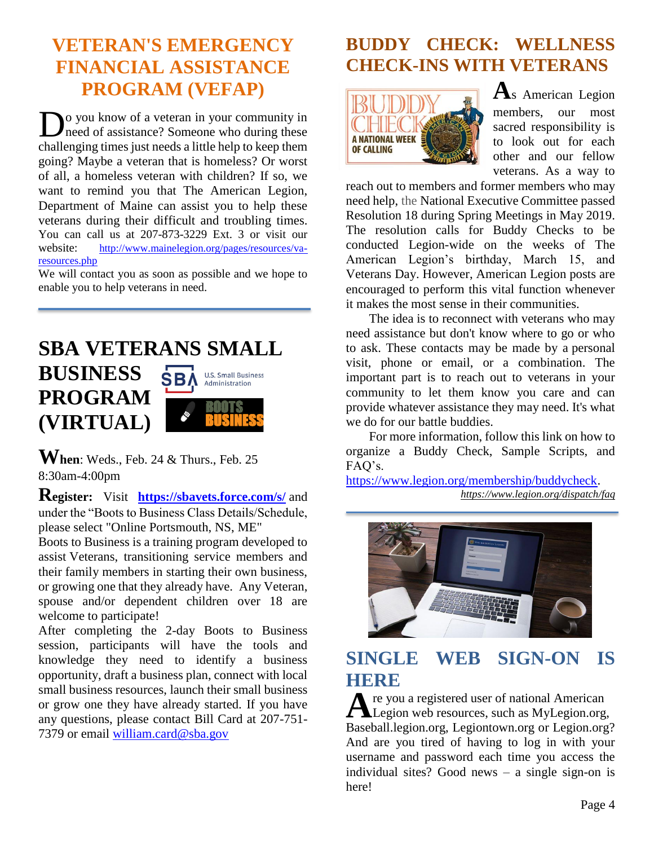# **VETERAN'S EMERGENCY FINANCIAL ASSISTANCE PROGRAM (VEFAP)**

o you know of a veteran in your community in **D**<sup>o</sup> you know of a veteran in your community in need of assistance? Someone who during these challenging times just needs a little help to keep them going? Maybe a veteran that is homeless? Or worst of all, a homeless veteran with children? If so, we want to remind you that The American Legion, Department of Maine can assist you to help these veterans during their difficult and troubling times. You can call us at 207-873-3229 Ext. 3 or visit our website: http://www.mainelegion.org/pages/resources/varesources.php

We will contact you as soon as possible and we hope to enable you to help veterans in need.

**SBA VETERANS SMALL** 

**SBA** 

**U.S. Small Business** Administration

**BUSINESS** 

**PROGRAM** 

**(VIRTUAL)** 

**When**: Weds., Feb. 24 & Thurs., Feb. 25 8:30am-4:00pm

**Register:** Visit **<https://sbavets.force.com/s/>** and under the "Boots to Business Class Details/Schedule, please select "Online Portsmouth, NS, ME"

Boots to Business is a training program developed to assist Veterans, transitioning service members and their family members in starting their own business, or growing one that they already have. Any Veteran, spouse and/or dependent children over 18 are welcome to participate!

After completing the 2-day Boots to Business session, participants will have the tools and knowledge they need to identify a business opportunity, draft a business plan, connect with local small business resources, launch their small business or grow one they have already started. If you have any questions, please contact Bill Card at 207-751- 7379 or email [william.card@sba.gov](mailto:william.card@sba.gov)

# **BUDDY CHECK: WELLNESS CHECK-INS WITH VETERANS**



**A**s American Legion members, our most sacred responsibility is to look out for each other and our fellow veterans. As a way to

reach out to members and former members who may need help, the National Executive Committee passed Resolution 18 during Spring Meetings in May 2019. The resolution calls for Buddy Checks to be conducted Legion-wide on the weeks of The American Legion's birthday, March 15, and Veterans Day. However, American Legion posts are encouraged to perform this vital function whenever it makes the most sense in their communities.

The idea is to reconnect with veterans who may need assistance but don't know where to go or who to ask. These contacts may be made by a personal visit, phone or email, or a combination. The important part is to reach out to veterans in your community to let them know you care and can provide whatever assistance they may need. It's what we do for our battle buddies.

For more information, follow this link on how to organize a Buddy Check, Sample Scripts, and FAQ's.

[https://www.legion.org/membership/buddycheck.](https://www.legion.org/membership/buddycheck) *[https://www.legion.org/dispatch/](https://www.legion.org/dispatch)faq*



# **SINGLE WEB SIGN-ON IS HERE**

re you a registered user of national American A re you a registered user of national American<br>Legion web resources, such as MyLegion.org, Baseball.legion.org, Legiontown.org or Legion.org? And are you tired of having to log in with your username and password each time you access the individual sites? Good news – a single sign-on is here!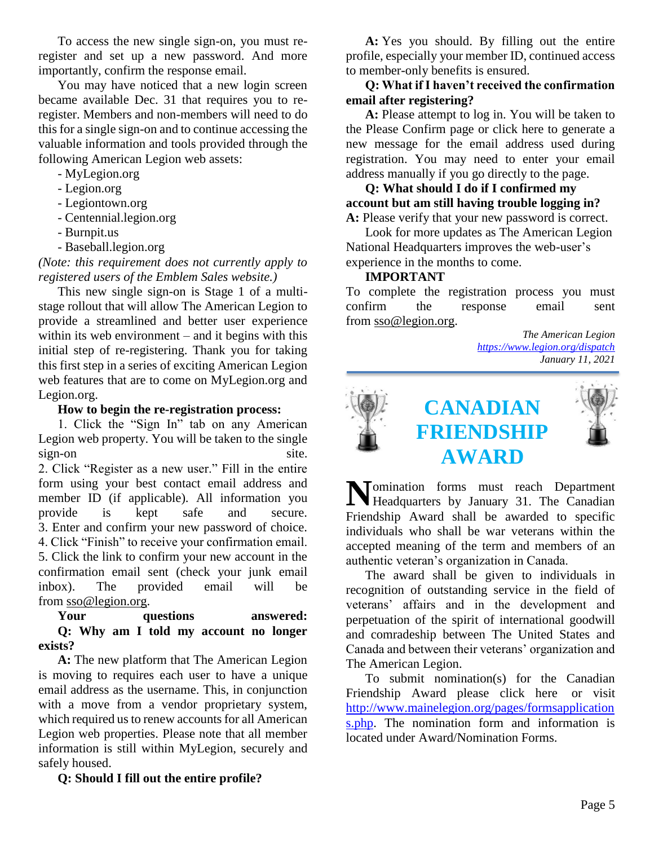To access the new single sign-on, you must reregister and set up a new password. And more importantly, confirm the response email.

You may have noticed that a new login screen became available Dec. 31 that requires you to reregister. Members and non-members will need to do this for a single sign-on and to continue accessing the valuable information and tools provided through the following American Legion web assets:

- MyLegion.org
- Legion.org
- Legiontown.org
- Centennial.legion.org
- Burnpit.us
- Baseball.legion.org

*(Note: this requirement does not currently apply to registered users of the Emblem Sales website.)*

This new single sign-on is Stage 1 of a multistage rollout that will allow The American Legion to provide a streamlined and better user experience within its web environment – and it begins with this initial step of re-registering. Thank you for taking this first step in a series of exciting American Legion web features that are to come on MyLegion.org and Legion.org.

#### **How to begin the re-registration process:**

1. Click the "Sign In" tab on any American Legion web property. You will be taken to the single sign-on site.

2. Click "Register as a new user." Fill in the entire form using your best contact email address and member ID (if applicable). All information you provide is kept safe and secure. 3. Enter and confirm your new password of choice. 4. Click "Finish" to receive your confirmation email. 5. Click the link to confirm your new account in the confirmation email sent (check your junk email inbox). The provided email will be from [sso@legion.org.](mailto:sso@legion.org)

#### **Your questions answered: Q: Why am I told my account no longer exists?**

**A:** The new platform that The American Legion is moving to requires each user to have a unique email address as the username. This, in conjunction with a move from a vendor proprietary system, which required us to renew accounts for all American Legion web properties. Please note that all member information is still within MyLegion, securely and safely housed.

**Q: Should I fill out the entire profile?**

**A:** Yes you should. By filling out the entire profile, especially your member ID, continued access to member-only benefits is ensured.

#### **Q: What if I haven't received the confirmation email after registering?**

**A:** Please attempt to log in. You will be taken to the Please Confirm page or click here to generate a new message for the email address used during registration. You may need to enter your email address manually if you go directly to the page.

**Q: What should I do if I confirmed my account but am still having trouble logging in? A:** Please verify that your new password is correct.

Look for more updates as The American Legion National Headquarters improves the web-user's experience in the months to come.

#### **IMPORTANT**

To complete the registration process you must confirm the response email sent from [sso@legion.org.](mailto:sso@legion.org)

> *The American Legion <https://www.legion.org/dispatch> January 11, 2021*



Momination forms must reach Department<br>Headquarters by January 31. The Canadian Headquarters by January 31. The Canadian Friendship Award shall be awarded to specific individuals who shall be war veterans within the accepted meaning of the term and members of an authentic veteran's organization in Canada.

The award shall be given to individuals in recognition of outstanding service in the field of veterans' affairs and in the development and perpetuation of the spirit of international goodwill and comradeship between The United States and Canada and between their veterans' organization and The American Legion.

To submit nomination(s) for the Canadian Friendship Award please click here or visit [http://www.mainelegion.org/pages/formsapplication](http://www.mainelegion.org/pages/formsapplications.php) [s.php.](http://www.mainelegion.org/pages/formsapplications.php) The nomination form and information is located under Award/Nomination Forms.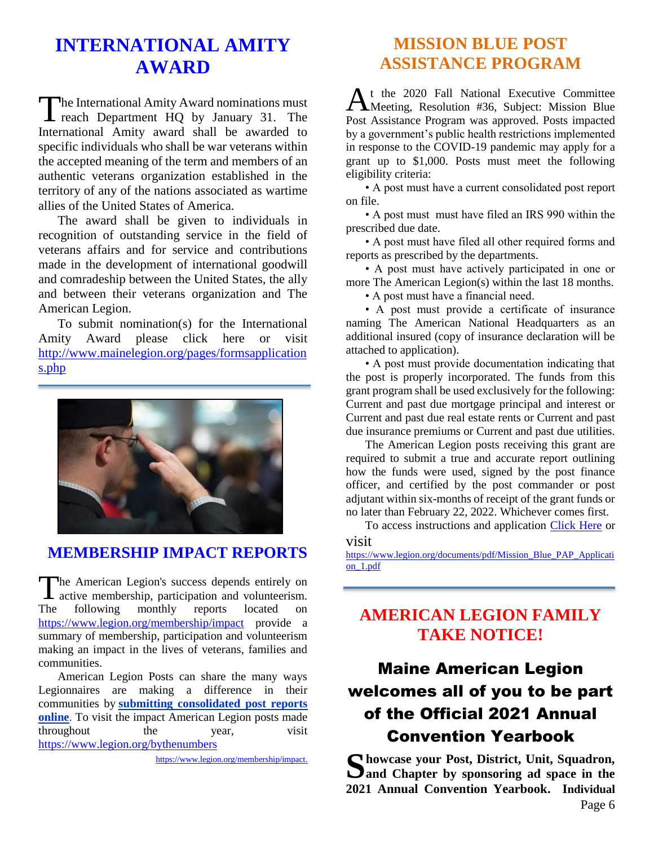# **INTERNATIONAL AMITY AWARD**

he International Amity Award nominations must The International Amity Award nominations must<br>reach Department HQ by January 31. The International Amity award shall be awarded to specific individuals who shall be war veterans within the accepted meaning of the term and members of an authentic veterans organization established in the territory of any of the nations associated as wartime allies of the United States of America.

The award shall be given to individuals in recognition of outstanding service in the field of veterans affairs and for service and contributions made in the development of international goodwill and comradeship between the United States, the ally and between their veterans organization and The American Legion.

To submit nomination(s) for the International Amity Award please click here or visit [http://www.mainelegion.org/pages/formsapplication](http://www.mainelegion.org/pages/formsapplications.php) [s.php](http://www.mainelegion.org/pages/formsapplications.php)



#### **[MEMBERSHIP IMPACT REPORTS](https://www.legion.org/membership/impact)**

he American Legion's success depends entirely on active membership, participation and volunteerism. The following monthly reports located on <https://www.legion.org/membership/impact> provide a summary of membership, participation and volunteerism making an impact in the lives of veterans, families and communities.  $\prod_{m}$ 

American Legion Posts can share the many ways Legionnaires are making a difference in their communities by **[submitting consolidated post reports](http://www.mylegion.org/)  [online](http://www.mylegion.org/)**. To visit the impact American Legion posts made throughout the vear, visit <https://www.legion.org/bythenumbers>

[https://www.legion.org/membership/impact.](https://www.legion.org/membership/impact)

### **MISSION BLUE POST ASSISTANCE PROGRAM**

t the 2020 Fall National Executive Committee At the 2020 Fall National Executive Committee<br>Meeting, Resolution #36, Subject: Mission Blue Post Assistance Program was approved. Posts impacted by a government's public health restrictions implemented in response to the COVID-19 pandemic may apply for a grant up to \$1,000. Posts must meet the following eligibility criteria:

• A post must have a current consolidated post report on file.

• A post must must have filed an IRS 990 within the prescribed due date.

• A post must have filed all other required forms and reports as prescribed by the departments.

• A post must have actively participated in one or more The American Legion(s) within the last 18 months.

• A post must have a financial need.

• A post must provide a certificate of insurance naming The American National Headquarters as an additional insured (copy of insurance declaration will be attached to application).

• A post must provide documentation indicating that the post is properly incorporated. The funds from this grant program shall be used exclusively for the following: Current and past due mortgage principal and interest or Current and past due real estate rents or Current and past due insurance premiums or Current and past due utilities.

The American Legion posts receiving this grant are required to submit a true and accurate report outlining how the funds were used, signed by the post finance officer, and certified by the post commander or post adjutant within six-months of receipt of the grant funds or no later than February 22, 2022. Whichever comes first.

To access instructions and application [Click Here](https://www.legion.org/documents/pdf/Mission_Blue_PAP_Application_1.pdf) or

visit [https://www.legion.org/documents/pdf/Mission\\_Blue\\_PAP\\_Applicati](https://www.legion.org/documents/pdf/Mission_Blue_PAP_Application_1.pdf) [on\\_1.pdf](https://www.legion.org/documents/pdf/Mission_Blue_PAP_Application_1.pdf)

### **AMERICAN LEGION FAMILY TAKE NOTICE!**

# Maine American Legion welcomes all of you to be part of the Official 2021 Annual Convention Yearbook

**howcase your Post, District, Unit, Squadron,**  Showcase your Post, District, Unit, Squadron, Sand Chapter by sponsoring ad space in the **2021 Annual Convention Yearbook. Individual**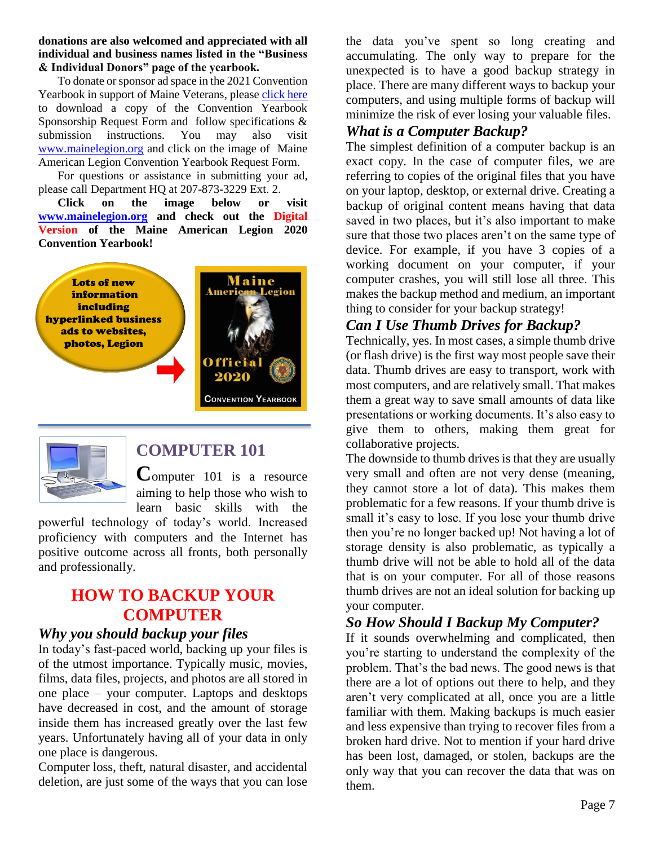**donations are also welcomed and appreciated with all individual and business names listed in the "Business & Individual Donors" page of the yearbook.** 

To donate or sponsor ad space in the 2021 Convention Yearbook in support of Maine Veterans, please [click here](http://www.mainelegion.org/media/YEARBOOK/Maine_AL_Convention_Yearbook_Sponsorship_Req._Form11_FILLABLE.pdf) to download a copy of the Convention Yearbook Sponsorship Request Form and follow specifications & submission instructions. You may also visit [www.mainelegion.org](http://www.mainelegion.org/) and click on the image of Maine American Legion Convention Yearbook Request Form.

For questions or assistance in submitting your ad, please call Department HQ at 207-873-3229 Ext. 2.

**Click on the image below or visit [www.mainelegion.org](http://www.mainelegion.org/) and check out the Digital Version of the Maine American Legion 2020 Convention Yearbook!**





### **COMPUTER 101**

**C**omputer 101 is a resource aiming to help those who wish to learn basic skills with the

powerful technology of today's world. Increased proficiency with computers and the Internet has positive outcome across all fronts, both personally and professionally.

### **HOW TO BACKUP YOUR COMPUTER**

#### *Why you should backup your files*

In today's fast-paced world, backing up your files is of the utmost importance. Typically music, movies, films, data files, projects, and photos are all stored in one place – your computer. Laptops and desktops have decreased in cost, and the amount of storage inside them has increased greatly over the last few years. Unfortunately having all of your data in only one place is dangerous.

Computer loss, theft, natural disaster, and accidental deletion, are just some of the ways that you can lose the data you've spent so long creating and accumulating. The only way to prepare for the unexpected is to have a good backup strategy in place. There are many different ways to backup your computers, and using multiple forms of backup will minimize the risk of ever losing your valuable files.

#### *What is a Computer Backup?*

The simplest definition of a computer backup is an exact copy. In the case of computer files, we are referring to copies of the original files that you have on your laptop, desktop, or external drive. Creating a backup of original content means having that data saved in two places, but it's also important to make sure that those two places aren't on the same type of device. For example, if you have 3 copies of a working document on your computer, if your computer crashes, you will still lose all three. This makes the backup method and medium, an important thing to consider for your backup strategy!

#### *Can I Use Thumb Drives for Backup?*

Technically, yes. In most cases, a simple thumb drive (or flash drive) is the first way most people save their data. Thumb drives are easy to transport, work with most computers, and are relatively small. That makes them a great way to save small amounts of data like presentations or working documents. It's also easy to give them to others, making them great for collaborative projects.

The downside to thumb drives is that they are usually very small and often are not very dense (meaning, they cannot store a lot of data). This makes them problematic for a few reasons. If your thumb drive is small it's easy to lose. If you lose your thumb drive then you're no longer backed up! Not having a lot of storage density is also problematic, as typically a thumb drive will not be able to hold all of the data that is on your computer. For all of those reasons thumb drives are not an ideal solution for backing up your computer.

#### *So How Should I Backup My Computer?*

If it sounds overwhelming and complicated, then you're starting to understand the complexity of the problem. That's the bad news. The good news is that there are a lot of options out there to help, and they aren't very complicated at all, once you are a little familiar with them. Making backups is much easier and less expensive than trying to recover files from a broken hard drive. Not to mention if your hard drive has been lost, damaged, or stolen, backups are the only way that you can recover the data that was on them.